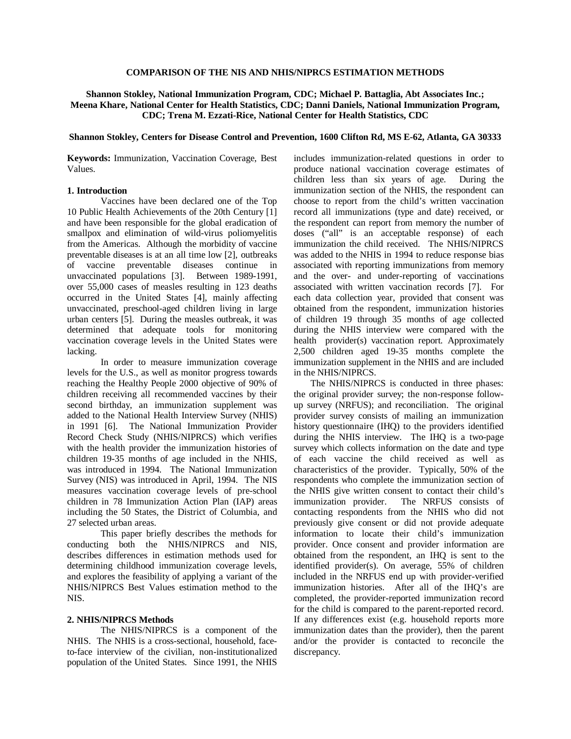### **COMPARISON OF THE NIS AND NHIS/NIPRCS ESTIMATION METHODS**

# **Shannon Stokley, National Immunization Program, CDC; Michael P. Battaglia, Abt Associates Inc.; Meena Khare, National Center for Health Statistics, CDC; Danni Daniels, National Immunization Program, CDC; Trena M. Ezzati-Rice, National Center for Health Statistics, CDC**

#### **Shannon Stokley, Centers for Disease Control and Prevention, 1600 Clifton Rd, MS E-62, Atlanta, GA 30333**

**Keywords:** Immunization, Vaccination Coverage, Best Values.

# **1. Introduction**

Vaccines have been declared one of the Top 10 Public Health Achievements of the 20th Century [1] and have been responsible for the global eradication of smallpox and elimination of wild-virus poliomyelitis from the Americas. Although the morbidity of vaccine preventable diseases is at an all time low [2], outbreaks of vaccine preventable diseases continue in unvaccinated populations [3]. Between 1989-1991, over 55,000 cases of measles resulting in 123 deaths occurred in the United States [4], mainly affecting unvaccinated, preschool-aged children living in large urban centers [5]. During the measles outbreak, it was determined that adequate tools for monitoring vaccination coverage levels in the United States were lacking.

In order to measure immunization coverage levels for the U.S., as well as monitor progress towards reaching the Healthy People 2000 objective of 90% of children receiving all recommended vaccines by their second birthday, an immunization supplement was added to the National Health Interview Survey (NHIS) in 1991 [6]. The National Immunization Provider Record Check Study (NHIS/NIPRCS) which verifies with the health provider the immunization histories of children 19-35 months of age included in the NHIS, was introduced in 1994. The National Immunization Survey (NIS) was introduced in April, 1994. The NIS measures vaccination coverage levels of pre-school children in 78 Immunization Action Plan (IAP) areas including the 50 States, the District of Columbia, and 27 selected urban areas.

This paper briefly describes the methods for conducting both the NHIS/NIPRCS and NIS, describes differences in estimation methods used for determining childhood immunization coverage levels, and explores the feasibility of applying a variant of the NHIS/NIPRCS Best Values estimation method to the NIS.

#### **2. NHIS/NIPRCS Methods**

The NHIS/NIPRCS is a component of the NHIS. The NHIS is a cross-sectional, household, faceto-face interview of the civilian, non-institutionalized population of the United States. Since 1991, the NHIS

includes immunization-related questions in order to produce national vaccination coverage estimates of children less than six years of age. During the immunization section of the NHIS, the respondent can choose to report from the child's written vaccination record all immunizations (type and date) received, or the respondent can report from memory the number of doses ("all" is an acceptable response) of each immunization the child received. The NHIS/NIPRCS was added to the NHIS in 1994 to reduce response bias associated with reporting immunizations from memory and the over- and under-reporting of vaccinations associated with written vaccination records [7]. For each data collection year, provided that consent was obtained from the respondent, immunization histories of children 19 through 35 months of age collected during the NHIS interview were compared with the health provider(s) vaccination report. Approximately 2,500 children aged 19-35 months complete the immunization supplement in the NHIS and are included in the NHIS/NIPRCS.

The NHIS/NIPRCS is conducted in three phases: the original provider survey; the non-response followup survey (NRFUS); and reconciliation. The original provider survey consists of mailing an immunization history questionnaire (IHQ) to the providers identified during the NHIS interview. The IHQ is a two-page survey which collects information on the date and type of each vaccine the child received as well as characteristics of the provider. Typically, 50% of the respondents who complete the immunization section of the NHIS give written consent to contact their child's immunization provider. The NRFUS consists of contacting respondents from the NHIS who did not previously give consent or did not provide adequate information to locate their child's immunization provider. Once consent and provider information are obtained from the respondent, an IHQ is sent to the identified provider(s). On average, 55% of children included in the NRFUS end up with provider-verified immunization histories. After all of the IHQ's are completed, the provider-reported immunization record for the child is compared to the parent-reported record. If any differences exist (e.g. household reports more immunization dates than the provider), then the parent and/or the provider is contacted to reconcile the discrepancy.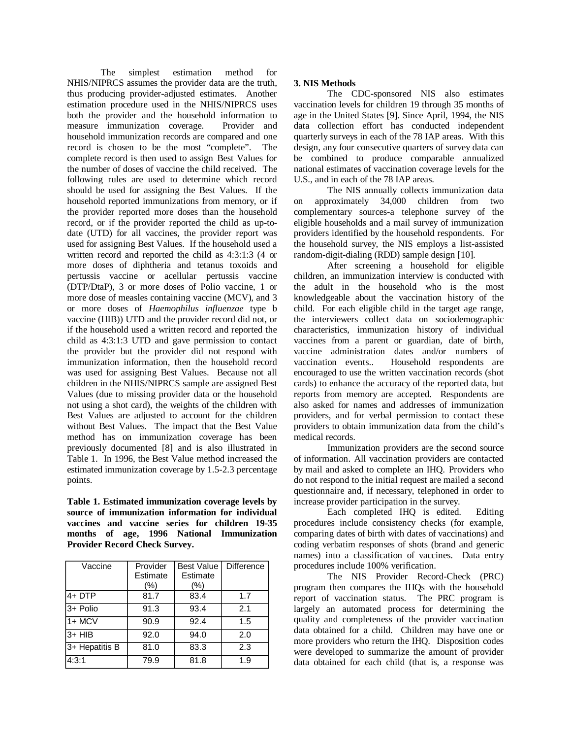The simplest estimation method for NHIS/NIPRCS assumes the provider data are the truth, thus producing provider-adjusted estimates. Another estimation procedure used in the NHIS/NIPRCS uses both the provider and the household information to measure immunization coverage. Provider and household immunization records are compared and one record is chosen to be the most "complete". The complete record is then used to assign Best Values for the number of doses of vaccine the child received. The following rules are used to determine which record should be used for assigning the Best Values. If the household reported immunizations from memory, or if the provider reported more doses than the household record, or if the provider reported the child as up-todate (UTD) for all vaccines, the provider report was used for assigning Best Values. If the household used a written record and reported the child as 4:3:1:3 (4 or more doses of diphtheria and tetanus toxoids and pertussis vaccine or acellular pertussis vaccine (DTP/DtaP), 3 or more doses of Polio vaccine, 1 or more dose of measles containing vaccine (MCV), and 3 or more doses of *Haemophilus influenzae* type b vaccine (HIB)) UTD and the provider record did not, or if the household used a written record and reported the child as 4:3:1:3 UTD and gave permission to contact the provider but the provider did not respond with immunization information, then the household record was used for assigning Best Values. Because not all children in the NHIS/NIPRCS sample are assigned Best Values (due to missing provider data or the household not using a shot card), the weights of the children with Best Values are adjusted to account for the children without Best Values. The impact that the Best Value method has on immunization coverage has been previously documented [8] and is also illustrated in Table 1. In 1996, the Best Value method increased the estimated immunization coverage by 1.5-2.3 percentage points.

**Table 1. Estimated immunization coverage levels by source of immunization information for individual vaccines and vaccine series for children 19-35 months of age, 1996 National Immunization Provider Record Check Survey.** 

| Vaccine        | Provider<br>Estimate<br>(%) | <b>Best Value</b><br>Estimate<br>(%) | Difference |
|----------------|-----------------------------|--------------------------------------|------------|
| 4+ DTP         | 81.7                        | 83.4                                 | 1.7        |
| 3+ Polio       | 91.3                        | 93.4                                 | 2.1        |
| $\sqrt{1+MCV}$ | 90.9                        | 92.4                                 | 1.5        |
| $3+$ HIB       | 92.0                        | 94.0                                 | 2.0        |
| 3+ Hepatitis B | 81.0                        | 83.3                                 | 2.3        |
| 4:3:1          | 79.9                        | 81.8                                 | 1.9        |

# **3. NIS Methods**

The CDC-sponsored NIS also estimates vaccination levels for children 19 through 35 months of age in the United States [9]. Since April, 1994, the NIS data collection effort has conducted independent quarterly surveys in each of the 78 IAP areas. With this design, any four consecutive quarters of survey data can be combined to produce comparable annualized national estimates of vaccination coverage levels for the U.S., and in each of the 78 IAP areas.

The NIS annually collects immunization data on approximately 34,000 children from two complementary sources-a telephone survey of the eligible households and a mail survey of immunization providers identified by the household respondents. For the household survey, the NIS employs a list-assisted random-digit-dialing (RDD) sample design [10].

After screening a household for eligible children, an immunization interview is conducted with the adult in the household who is the most knowledgeable about the vaccination history of the child. For each eligible child in the target age range, the interviewers collect data on sociodemographic characteristics, immunization history of individual vaccines from a parent or guardian, date of birth, vaccine administration dates and/or numbers of vaccination events.. Household respondents are encouraged to use the written vaccination records (shot cards) to enhance the accuracy of the reported data, but reports from memory are accepted. Respondents are also asked for names and addresses of immunization providers, and for verbal permission to contact these providers to obtain immunization data from the child's medical records.

Immunization providers are the second source of information. All vaccination providers are contacted by mail and asked to complete an IHQ. Providers who do not respond to the initial request are mailed a second questionnaire and, if necessary, telephoned in order to increase provider participation in the survey.

Each completed IHQ is edited. Editing procedures include consistency checks (for example, comparing dates of birth with dates of vaccinations) and coding verbatim responses of shots (brand and generic names) into a classification of vaccines. Data entry procedures include 100% verification.

The NIS Provider Record-Check (PRC) program then compares the IHQs with the household report of vaccination status. The PRC program is largely an automated process for determining the quality and completeness of the provider vaccination data obtained for a child. Children may have one or more providers who return the IHQ. Disposition codes were developed to summarize the amount of provider data obtained for each child (that is, a response was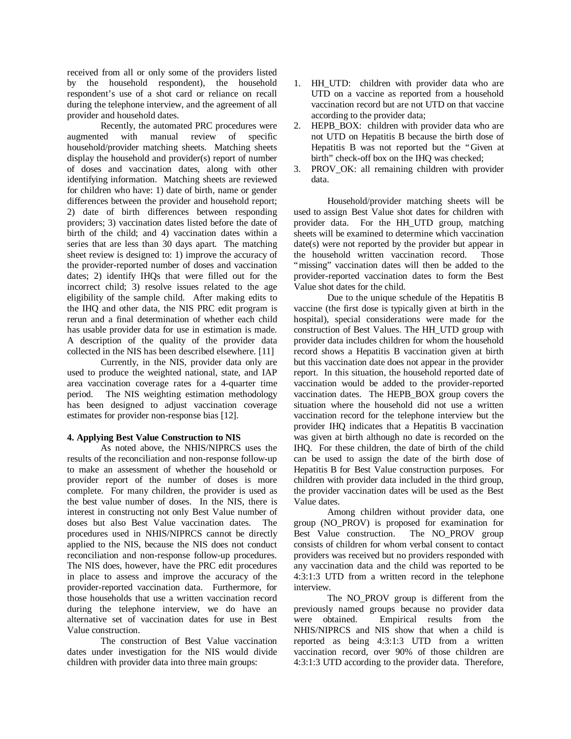received from all or only some of the providers listed by the household respondent), the household respondent's use of a shot card or reliance on recall during the telephone interview, and the agreement of all provider and household dates.

Recently, the automated PRC procedures were augmented with manual review of specific household/provider matching sheets. Matching sheets display the household and provider(s) report of number of doses and vaccination dates, along with other identifying information. Matching sheets are reviewed for children who have: 1) date of birth, name or gender differences between the provider and household report; 2) date of birth differences between responding providers; 3) vaccination dates listed before the date of birth of the child; and 4) vaccination dates within a series that are less than 30 days apart. The matching sheet review is designed to: 1) improve the accuracy of the provider-reported number of doses and vaccination dates; 2) identify IHQs that were filled out for the incorrect child; 3) resolve issues related to the age eligibility of the sample child. After making edits to the IHQ and other data, the NIS PRC edit program is rerun and a final determination of whether each child has usable provider data for use in estimation is made. A description of the quality of the provider data collected in the NIS has been described elsewhere. [11]

Currently, in the NIS, provider data only are used to produce the weighted national, state, and IAP area vaccination coverage rates for a 4-quarter time period. The NIS weighting estimation methodology has been designed to adjust vaccination coverage estimates for provider non-response bias [12].

### **4. Applying Best Value Construction to NIS**

As noted above, the NHIS/NIPRCS uses the results of the reconciliation and non-response follow-up to make an assessment of whether the household or provider report of the number of doses is more complete. For many children, the provider is used as the best value number of doses. In the NIS, there is interest in constructing not only Best Value number of doses but also Best Value vaccination dates. The procedures used in NHIS/NIPRCS cannot be directly applied to the NIS, because the NIS does not conduct reconciliation and non-response follow-up procedures. The NIS does, however, have the PRC edit procedures in place to assess and improve the accuracy of the provider-reported vaccination data. Furthermore, for those households that use a written vaccination record during the telephone interview, we do have an alternative set of vaccination dates for use in Best Value construction.

The construction of Best Value vaccination dates under investigation for the NIS would divide children with provider data into three main groups:

- 1. HH UTD: children with provider data who are UTD on a vaccine as reported from a household vaccination record but are not UTD on that vaccine according to the provider data;
- 2. HEPB\_BOX: children with provider data who are not UTD on Hepatitis B because the birth dose of Hepatitis B was not reported but the "Given at birth" check-off box on the IHQ was checked;
- 3. PROV\_OK: all remaining children with provider data.

Household/provider matching sheets will be used to assign Best Value shot dates for children with provider data. For the HH\_UTD group, matching sheets will be examined to determine which vaccination date(s) were not reported by the provider but appear in the household written vaccination record. Those "missing" vaccination dates will then be added to the provider-reported vaccination dates to form the Best Value shot dates for the child.

Due to the unique schedule of the Hepatitis B vaccine (the first dose is typically given at birth in the hospital), special considerations were made for the construction of Best Values. The HH\_UTD group with provider data includes children for whom the household record shows a Hepatitis B vaccination given at birth but this vaccination date does not appear in the provider report. In this situation, the household reported date of vaccination would be added to the provider-reported vaccination dates. The HEPB\_BOX group covers the situation where the household did not use a written vaccination record for the telephone interview but the provider IHQ indicates that a Hepatitis B vaccination was given at birth although no date is recorded on the IHQ. For these children, the date of birth of the child can be used to assign the date of the birth dose of Hepatitis B for Best Value construction purposes. For children with provider data included in the third group, the provider vaccination dates will be used as the Best Value dates.

Among children without provider data, one group (NO\_PROV) is proposed for examination for Best Value construction. The NO\_PROV group consists of children for whom verbal consent to contact providers was received but no providers responded with any vaccination data and the child was reported to be 4:3:1:3 UTD from a written record in the telephone interview.

The NO\_PROV group is different from the previously named groups because no provider data were obtained. Empirical results from the NHIS/NIPRCS and NIS show that when a child is reported as being 4:3:1:3 UTD from a written vaccination record, over 90% of those children are 4:3:1:3 UTD according to the provider data. Therefore,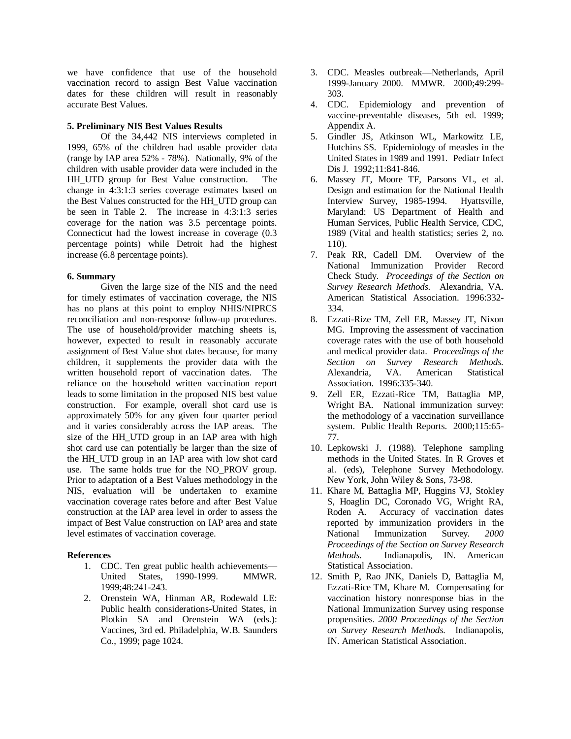we have confidence that use of the household vaccination record to assign Best Value vaccination dates for these children will result in reasonably accurate Best Values.

#### **5. Preliminary NIS Best Values Results**

Of the 34,442 NIS interviews completed in 1999, 65% of the children had usable provider data (range by IAP area 52% - 78%). Nationally, 9% of the children with usable provider data were included in the HH UTD group for Best Value construction. The change in 4:3:1:3 series coverage estimates based on the Best Values constructed for the HH\_UTD group can be seen in Table 2. The increase in 4:3:1:3 series coverage for the nation was 3.5 percentage points. Connecticut had the lowest increase in coverage (0.3 percentage points) while Detroit had the highest increase (6.8 percentage points).

## **6. Summary**

Given the large size of the NIS and the need for timely estimates of vaccination coverage, the NIS has no plans at this point to employ NHIS/NIPRCS reconciliation and non-response follow-up procedures. The use of household/provider matching sheets is, however, expected to result in reasonably accurate assignment of Best Value shot dates because, for many children, it supplements the provider data with the written household report of vaccination dates. The reliance on the household written vaccination report leads to some limitation in the proposed NIS best value construction. For example, overall shot card use is approximately 50% for any given four quarter period and it varies considerably across the IAP areas. The size of the HH\_UTD group in an IAP area with high shot card use can potentially be larger than the size of the HH\_UTD group in an IAP area with low shot card use. The same holds true for the NO\_PROV group. Prior to adaptation of a Best Values methodology in the NIS, evaluation will be undertaken to examine vaccination coverage rates before and after Best Value construction at the IAP area level in order to assess the impact of Best Value construction on IAP area and state level estimates of vaccination coverage.

# **References**

- 1. CDC. Ten great public health achievements— United States, 1990-1999. MMWR. 1999;48:241-243.
- 2. Orenstein WA, Hinman AR, Rodewald LE: Public health considerations-United States, in Plotkin SA and Orenstein WA (eds.): Vaccines, 3rd ed. Philadelphia, W.B. Saunders Co., 1999; page 1024.
- 3. CDC. Measles outbreak— Netherlands, April 1999-January 2000. MMWR. 2000;49:299- 303.
- 4. CDC. Epidemiology and prevention of vaccine-preventable diseases, 5th ed. 1999; Appendix A.
- 5. Gindler JS, Atkinson WL, Markowitz LE, Hutchins SS. Epidemiology of measles in the United States in 1989 and 1991. Pediatr Infect Dis J. 1992;11:841-846.
- 6. Massey JT, Moore TF, Parsons VL, et al. Design and estimation for the National Health Interview Survey, 1985-1994. Hyattsville, Maryland: US Department of Health and Human Services, Public Health Service, CDC, 1989 (Vital and health statistics; series 2, no. 110).
- 7. Peak RR, Cadell DM. Overview of the National Immunization Provider Record Check Study. *Proceedings of the Section on Survey Research Methods.* Alexandria, VA. American Statistical Association. 1996:332- 334.
- 8. Ezzati-Rize TM, Zell ER, Massey JT, Nixon MG. Improving the assessment of vaccination coverage rates with the use of both household and medical provider data. *Proceedings of the Section on Survey Research Methods.*  Alexandria, VA. American Statistical Association. 1996:335-340.
- 9. Zell ER, Ezzati-Rice TM, Battaglia MP, Wright BA. National immunization survey: the methodology of a vaccination surveillance system. Public Health Reports. 2000;115:65- 77.
- 10. Lepkowski J. (1988). Telephone sampling methods in the United States. In R Groves et al. (eds), Telephone Survey Methodology. New York, John Wiley & Sons, 73-98.
- 11. Khare M, Battaglia MP, Huggins VJ, Stokley S, Hoaglin DC, Coronado VG, Wright RA, Roden A. Accuracy of vaccination dates reported by immunization providers in the National Immunization Survey. *2000 Proceedings of the Section on Survey Research Methods.* Indianapolis, IN. American Statistical Association.
- 12. Smith P, Rao JNK, Daniels D, Battaglia M, Ezzati-Rice TM, Khare M. Compensating for vaccination history nonresponse bias in the National Immunization Survey using response propensities. *2000 Proceedings of the Section on Survey Research Methods.* Indianapolis, IN. American Statistical Association.